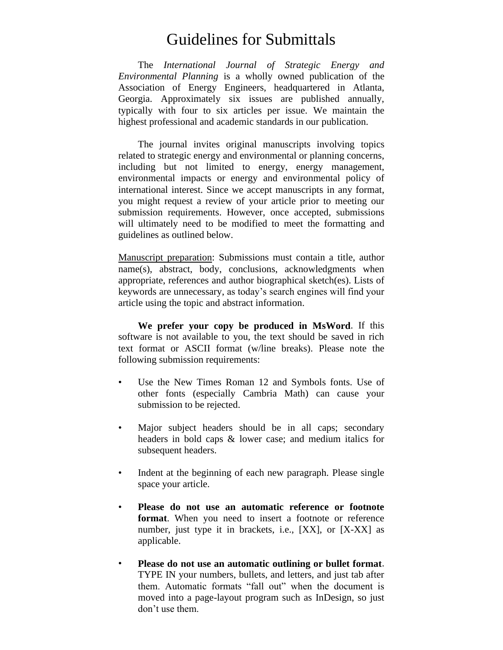## Guidelines for Submittals

The *International Journal of Strategic Energy and Environmental Planning* is a wholly owned publication of the Association of Energy Engineers, headquartered in Atlanta, Georgia. Approximately six issues are published annually, typically with four to six articles per issue. We maintain the highest professional and academic standards in our publication.

The journal invites original manuscripts involving topics related to strategic energy and environmental or planning concerns, including but not limited to energy, energy management, environmental impacts or energy and environmental policy of international interest. Since we accept manuscripts in any format, you might request a review of your article prior to meeting our submission requirements. However, once accepted, submissions will ultimately need to be modified to meet the formatting and guidelines as outlined below.

Manuscript preparation: Submissions must contain a title, author name(s), abstract, body, conclusions, acknowledgments when appropriate, references and author biographical sketch(es). Lists of keywords are unnecessary, as today's search engines will find your article using the topic and abstract information.

**We prefer your copy be produced in MsWord**. If this software is not available to you, the text should be saved in rich text format or ASCII format (w/line breaks). Please note the following submission requirements:

- Use the New Times Roman 12 and Symbols fonts. Use of other fonts (especially Cambria Math) can cause your submission to be rejected.
- Major subject headers should be in all caps; secondary headers in bold caps & lower case; and medium italics for subsequent headers.
- Indent at the beginning of each new paragraph. Please single space your article.
- **Please do not use an automatic reference or footnote format**. When you need to insert a footnote or reference number, just type it in brackets, i.e., [XX], or [X-XX] as applicable.
- **Please do not use an automatic outlining or bullet format**. TYPE IN your numbers, bullets, and letters, and just tab after them. Automatic formats "fall out" when the document is moved into a page-layout program such as InDesign, so just don't use them.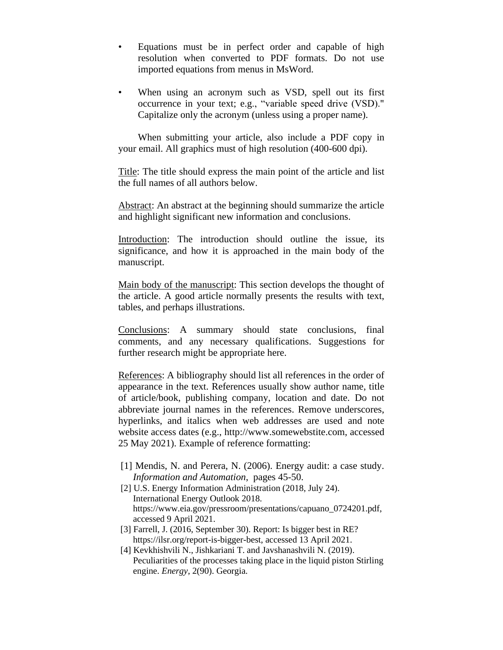- Equations must be in perfect order and capable of high resolution when converted to PDF formats. Do not use imported equations from menus in MsWord.
- When using an acronym such as VSD, spell out its first occurrence in your text; e.g., "variable speed drive (VSD)." Capitalize only the acronym (unless using a proper name).

When submitting your article, also include a PDF copy in your email. All graphics must of high resolution (400-600 dpi).

Title: The title should express the main point of the article and list the full names of all authors below.

Abstract: An abstract at the beginning should summarize the article and highlight significant new information and conclusions.

Introduction: The introduction should outline the issue, its significance, and how it is approached in the main body of the manuscript.

Main body of the manuscript: This section develops the thought of the article. A good article normally presents the results with text, tables, and perhaps illustrations.

Conclusions: A summary should state conclusions, final comments, and any necessary qualifications. Suggestions for further research might be appropriate here.

References: A bibliography should list all references in the order of appearance in the text. References usually show author name, title of article/book, publishing company, location and date. Do not abbreviate journal names in the references. Remove underscores, hyperlinks, and italics when web addresses are used and note website access dates (e.g., http://www.somewebstite.com, accessed 25 May 2021). Example of reference formatting:

- [1] Mendis, N. and Perera, N. (2006). Energy audit: a case study. *Information and Automation*, pages 45-50.
- [2] U.S. Energy Information Administration (2018, July 24). International Energy Outlook 2018. https://www.eia.gov/pressroom/presentations/capuano\_0724201.pdf, accessed 9 April 2021.
- [3] Farrell, J. (2016, September 30). Report: Is bigger best in RE? https://ilsr.org/report-is-bigger-best, accessed 13 April 2021.
- [4] Kevkhishvili N., Jishkariani T. and Javshanashvili N. (2019). Peculiarities of the processes taking place in the liquid piston Stirling engine. *Energy*, 2(90). Georgia.